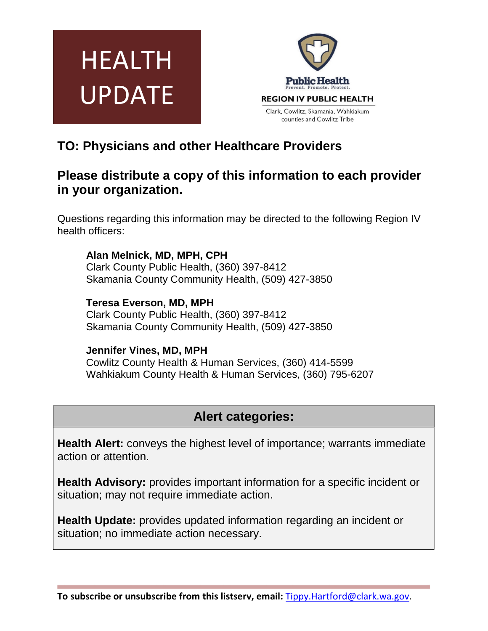



# **TO: Physicians and other Healthcare Providers**

## **Please distribute a copy of this information to each provider in your organization.**

Questions regarding this information may be directed to the following Region IV health officers:

**Alan Melnick, MD, MPH, CPH** Clark County Public Health, (360) 397-8412 Skamania County Community Health, (509) 427-3850

**Teresa Everson, MD, MPH** Clark County Public Health, (360) 397-8412 Skamania County Community Health, (509) 427-3850

### **Jennifer Vines, MD, MPH**

Cowlitz County Health & Human Services, (360) 414-5599 Wahkiakum County Health & Human Services, (360) 795-6207

# **Alert categories:**

**Health Alert:** conveys the highest level of importance; warrants immediate action or attention.

**Health Advisory:** provides important information for a specific incident or situation; may not require immediate action.

**Health Update:** provides updated information regarding an incident or situation; no immediate action necessary.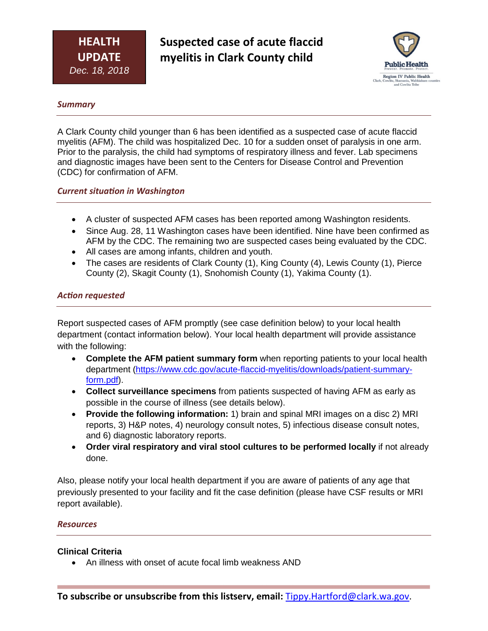**Suspected case of acute flaccid myelitis in Clark County child**



#### *Summary*

A Clark County child younger than 6 has been identified as a suspected case of acute flaccid myelitis (AFM). The child was hospitalized Dec. 10 for a sudden onset of paralysis in one arm. Prior to the paralysis, the child had symptoms of respiratory illness and fever. Lab specimens and diagnostic images have been sent to the Centers for Disease Control and Prevention (CDC) for confirmation of AFM.

#### *Current situation in Washington*

- A cluster of suspected AFM cases has been reported among Washington residents.
- Since Aug. 28, 11 Washington cases have been identified. Nine have been confirmed as AFM by the CDC. The remaining two are suspected cases being evaluated by the CDC.
- All cases are among infants, children and youth.
- The cases are residents of Clark County (1), King County (4), Lewis County (1), Pierce County (2), Skagit County (1), Snohomish County (1), Yakima County (1).

#### *Action requested*

Report suspected cases of AFM promptly (see case definition below) to your local health department (contact information below). Your local health department will provide assistance with the following:

- **Complete the AFM patient summary form** when reporting patients to your local health department [\(https://www.cdc.gov/acute-flaccid-myelitis/downloads/patient-summary](https://www.cdc.gov/acute-flaccid-myelitis/downloads/patient-summary-form.pdf)[form.pdf\)](https://www.cdc.gov/acute-flaccid-myelitis/downloads/patient-summary-form.pdf).
- **Collect surveillance specimens** from patients suspected of having AFM as early as possible in the course of illness (see details below).
- **Provide the following information:** 1) brain and spinal MRI images on a disc 2) MRI reports, 3) H&P notes, 4) neurology consult notes, 5) infectious disease consult notes, and 6) diagnostic laboratory reports.
- **Order viral respiratory and viral stool cultures to be performed locally** if not already done.

Also, please notify your local health department if you are aware of patients of any age that previously presented to your facility and fit the case definition (please have CSF results or MRI report available).

#### *Resources*

#### **Clinical Criteria**

• An illness with onset of acute focal limb weakness AND